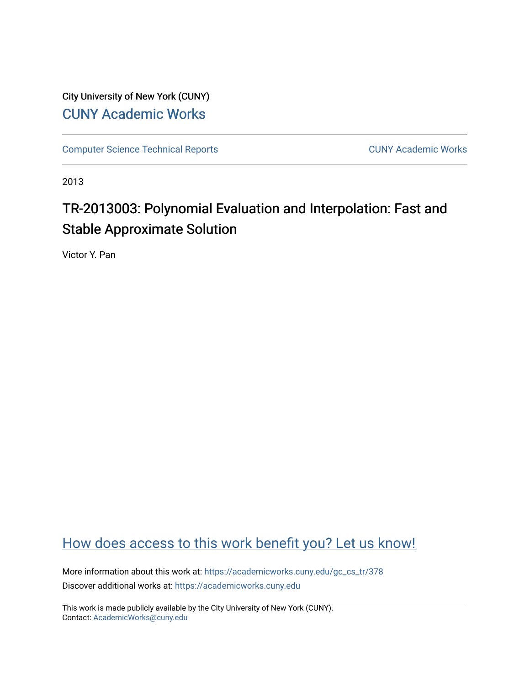City University of New York (CUNY) [CUNY Academic Works](https://academicworks.cuny.edu/) 

[Computer Science Technical Reports](https://academicworks.cuny.edu/gc_cs_tr) **CUNY Academic Works** CUNY Academic Works

2013

# TR-2013003: Polynomial Evaluation and Interpolation: Fast and Stable Approximate Solution

Victor Y. Pan

# [How does access to this work benefit you? Let us know!](http://ols.cuny.edu/academicworks/?ref=https://academicworks.cuny.edu/gc_cs_tr/378)

More information about this work at: [https://academicworks.cuny.edu/gc\\_cs\\_tr/378](https://academicworks.cuny.edu/gc_cs_tr/378)  Discover additional works at: [https://academicworks.cuny.edu](https://academicworks.cuny.edu/?)

This work is made publicly available by the City University of New York (CUNY). Contact: [AcademicWorks@cuny.edu](mailto:AcademicWorks@cuny.edu)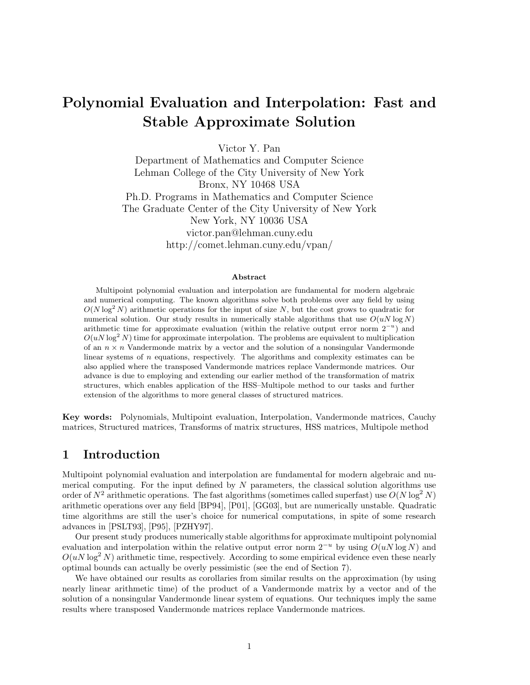# **Polynomial Evaluation and Interpolation: Fast and Stable Approximate Solution**

Victor Y. Pan

Department of Mathematics and Computer Science Lehman College of the City University of New York Bronx, NY 10468 USA Ph.D. Programs in Mathematics and Computer Science The Graduate Center of the City University of New York New York, NY 10036 USA victor.pan@lehman.cuny.edu http://comet.lehman.cuny.edu/vpan/

#### **Abstract**

Multipoint polynomial evaluation and interpolation are fundamental for modern algebraic and numerical computing. The known algorithms solve both problems over any field by using  $O(N \log^2 N)$  arithmetic operations for the input of size N, but the cost grows to quadratic for numerical solution. Our study results in numerically stable algorithms that use  $O(uN \log N)$ arithmetic time for approximate evaluation (within the relative output error norm 2*−<sup>u</sup>*) and  $O(uN \log^2 N)$  time for approximate interpolation. The problems are equivalent to multiplication of an  $n \times n$  Vandermonde matrix by a vector and the solution of a nonsingular Vandermonde linear systems of *n* equations, respectively. The algorithms and complexity estimates can be also applied where the transposed Vandermonde matrices replace Vandermonde matrices. Our advance is due to employing and extending our earlier method of the transformation of matrix structures, which enables application of the HSS–Multipole method to our tasks and further extension of the algorithms to more general classes of structured matrices.

**Key words:** Polynomials, Multipoint evaluation, Interpolation, Vandermonde matrices, Cauchy matrices, Structured matrices, Transforms of matrix structures, HSS matrices, Multipole method

### **1 Introduction**

Multipoint polynomial evaluation and interpolation are fundamental for modern algebraic and numerical computing. For the input defined by *N* parameters, the classical solution algorithms use order of  $N^2$  arithmetic operations. The fast algorithms (sometimes called superfast) use  $O(N \log^2 N)$ arithmetic operations over any field [BP94], [P01], [GG03], but are numerically unstable. Quadratic time algorithms are still the user's choice for numerical computations, in spite of some research advances in [PSLT93], [P95], [PZHY97].

Our present study produces numerically stable algorithms for approximate multipoint polynomial evaluation and interpolation within the relative output error norm 2−*<sup>u</sup>* by using *O*(*uN* log *N*) and  $O(uN \log^2 N)$  arithmetic time, respectively. According to some empirical evidence even these nearly optimal bounds can actually be overly pessimistic (see the end of Section 7).

We have obtained our results as corollaries from similar results on the approximation (by using nearly linear arithmetic time) of the product of a Vandermonde matrix by a vector and of the solution of a nonsingular Vandermonde linear system of equations. Our techniques imply the same results where transposed Vandermonde matrices replace Vandermonde matrices.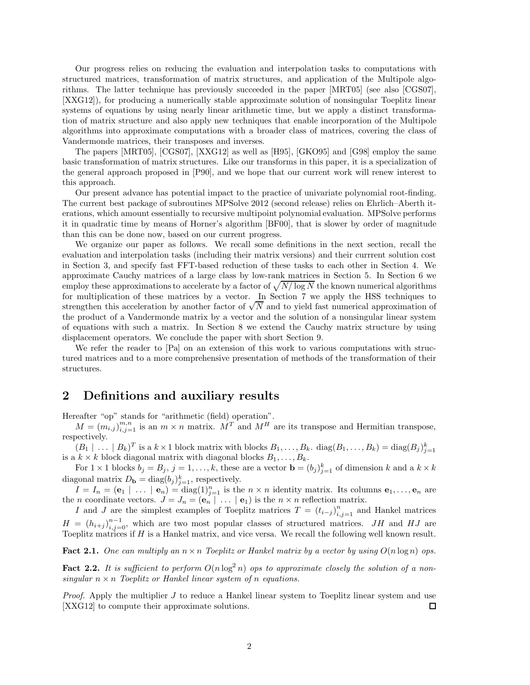Our progress relies on reducing the evaluation and interpolation tasks to computations with structured matrices, transformation of matrix structures, and application of the Multipole algorithms. The latter technique has previously succeeded in the paper [MRT05] (see also [CGS07], [XXG12]), for producing a numerically stable approximate solution of nonsingular Toeplitz linear systems of equations by using nearly linear arithmetic time, but we apply a distinct transformation of matrix structure and also apply new techniques that enable incorporation of the Multipole algorithms into approximate computations with a broader class of matrices, covering the class of Vandermonde matrices, their transposes and inverses.

The papers [MRT05], [CGS07], [XXG12] as well as [H95], [GKO95] and [G98] employ the same basic transformation of matrix structures. Like our transforms in this paper, it is a specialization of the general approach proposed in [P90], and we hope that our current work will renew interest to this approach.

Our present advance has potential impact to the practice of univariate polynomial root-finding. The current best package of subroutines MPSolve 2012 (second release) relies on Ehrlich–Aberth iterations, which amount essentially to recursive multipoint polynomial evaluation. MPSolve performs it in quadratic time by means of Horner's algorithm [BF00], that is slower by order of magnitude than this can be done now, based on our current progress.

We organize our paper as follows. We recall some definitions in the next section, recall the evaluation and interpolation tasks (including their matrix versions) and their currrent solution cost in Section 3, and specify fast FFT-based reduction of these tasks to each other in Section 4. We approximate Cauchy matrices of a large class by low-rank matrices in Section 5. In Section 6 we employ these approximations to accelerate by a factor of  $\sqrt{N/\log N}$  the known numerical algorithms for multiplication of these matrices by a vector. In Section 7 we apply the HSS techniques to strengthen this acceleration by another factor of  $\sqrt{N}$  and to yield fast numerical approximation of the product of a Vandermonde matrix by a vector and the solution of a nonsingular linear system of equations with such a matrix. In Section 8 we extend the Cauchy matrix structure by using displacement operators. We conclude the paper with short Section 9.

We refer the reader to [Pa] on an extension of this work to various computations with structured matrices and to a more comprehensive presentation of methods of the transformation of their structures.

### **2 Definitions and auxiliary results**

Hereafter "op" stands for "arithmetic (field) operation".

 $M = (m_{i,j})_{i,j=1}^{m,n}$  is an  $m \times n$  matrix.  $M^T$  and  $M^H$  are its transpose and Hermitian transpose, respectively.

 $(B_1 \mid \ldots \mid B_k)^T$  is a  $k \times 1$  block matrix with blocks  $B_1, \ldots, B_k$ . diag $(B_1, \ldots, B_k) = \text{diag}(B_j)_{j=1}^k$ is a  $k \times k$  block diagonal matrix with diagonal blocks  $B_1, \ldots, B_k$ .

For  $1 \times 1$  blocks  $b_j = B_j$ ,  $j = 1, \ldots, k$ , these are a vector  $\mathbf{b} = (b_j)_{j=1}^k$  of dimension  $k$  and a  $k \times k$ diagonal matrix  $D_{\mathbf{b}} = \text{diag}(b_j)_{j=1}^k$ , respectively.

 $I = I_n = (\mathbf{e}_1 \mid \ldots \mid \mathbf{e}_n) = \text{diag}(1)_{j=1}^n$  is the  $n \times n$  identity matrix. Its columns  $\mathbf{e}_1, \ldots, \mathbf{e}_n$  are the *n* coordinate vectors.  $J = J_n = (\mathbf{e}_n \mid \dots \mid \mathbf{e}_1)$  is the  $n \times n$  reflection matrix.

*I* and *J* are the simplest examples of Toeplitz matrices  $T = (t_{i-j})_{i,j=1}^n$  and Hankel matrices  $H = (h_{i+j})_{i,j=0}^{n-1}$ , which are two most popular classes of structured matrices. *JH* and *HJ* are Toeplitz matrices if *H* is a Hankel matrix, and vice versa. We recall the following well known result.

**Fact 2.1.** One can multiply an  $n \times n$  Toeplitz or Hankel matrix by a vector by using  $O(n \log n)$  ops.

**Fact 2.2.** It is sufficient to perform  $O(n \log^2 n)$  ops to approximate closely the solution of a non*singular*  $n \times n$  *Toeplitz or Hankel linear system of n equations.* 

*Proof.* Apply the multiplier *J* to reduce a Hankel linear system to Toeplitz linear system and use [XXG12] to compute their approximate solutions. □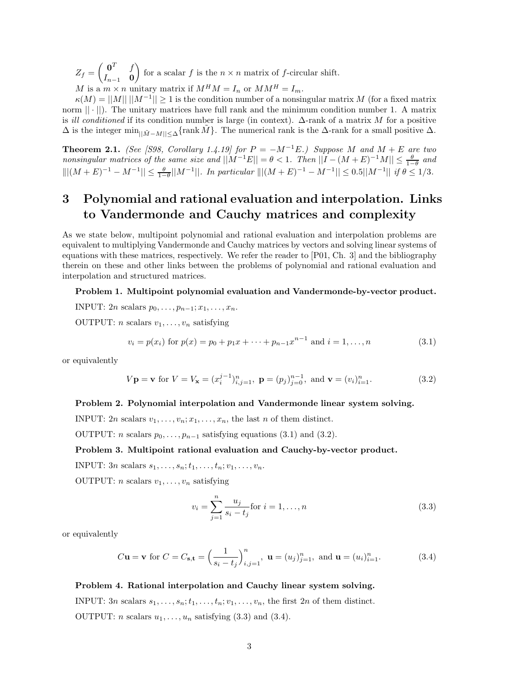$Z_f = \begin{pmatrix} 0^T & f \\ f & 0 \end{pmatrix}$ *In*−<sup>1</sup> **0** for a scalar *f* is the  $n \times n$  matrix of *f*-circular shift. *M* is a  $m \times n$  unitary matrix if  $M^H M = I_n$  or  $M M^H = I_m$ .

 $\kappa(M) = ||M|| \, ||M^{-1}|| \geq 1$  is the condition number of a nonsingular matrix *M* (for a fixed matrix norm  $|| \cdot ||$ . The unitary matrices have full rank and the minimum condition number 1. A matrix is *ill conditioned* if its condition number is large (in context). ∆-rank of a matrix *M* for a positive  $\Delta$  is the integer  $\min_{|\tilde{M}-M|<\Delta} \{\text{rank } \tilde{M}\}\.$  The numerical rank is the  $\Delta$ -rank for a small positive  $\Delta$ .

**Theorem 2.1.** *(See [S98, Corollary 1.4.19] for*  $P = -M^{-1}E$ *.) Suppose M* and  $M + E$  are two  $\frac{\theta}{1-\theta}$  and  $\frac{\theta}{1-\theta}$  and  $\frac{\theta}{1-\theta}$  and  $\frac{\theta}{1-\theta}$  and  $\frac{\theta}{1-\theta}$  and  $\frac{\theta}{1-\theta}$  and  $\frac{\theta}{1-\theta}$  and  $|||(M + E)^{-1} - M^{-1}|| \le \frac{\theta}{1-\theta}||M^{-1}||$ *. In particular*  $|||(M + E)^{-1} - M^{-1}|| \le 0.5||M^{-1}||$  *if*  $\theta \le 1/3$ *.* 

# **3 Polynomial and rational evaluation and interpolation. Links to Vandermonde and Cauchy matrices and complexity**

As we state below, multipoint polynomial and rational evaluation and interpolation problems are equivalent to multiplying Vandermonde and Cauchy matrices by vectors and solving linear systems of equations with these matrices, respectively. We refer the reader to [P01, Ch. 3] and the bibliography therein on these and other links between the problems of polynomial and rational evaluation and interpolation and structured matrices.

#### **Problem 1. Multipoint polynomial evaluation and Vandermonde-by-vector product.**

**INPUT:**  $2n$  scalars  $p_0, \ldots, p_{n-1}; x_1, \ldots, x_n$ .

OUTPUT: *n* scalars  $v_1, \ldots, v_n$  satisfying

$$
v_i = p(x_i) \text{ for } p(x) = p_0 + p_1 x + \dots + p_{n-1} x^{n-1} \text{ and } i = 1, \dots, n
$$
 (3.1)

or equivalently

$$
V\mathbf{p} = \mathbf{v} \text{ for } V = V_{\mathbf{x}} = (x_i^{j-1})_{i,j=1}^n, \ \mathbf{p} = (p_j)_{j=0}^{n-1}, \text{ and } \mathbf{v} = (v_i)_{i=1}^n. \tag{3.2}
$$

#### **Problem 2. Polynomial interpolation and Vandermonde linear system solving.**

INPUT: 2*n* scalars  $v_1, \ldots, v_n; x_1, \ldots, x_n$ , the last *n* of them distinct.

OUTPUT: *n* scalars  $p_0, \ldots, p_{n-1}$  satisfying equations (3.1) and (3.2).

#### **Problem 3. Multipoint rational evaluation and Cauchy-by-vector product.**

**INPUT:**  $3n$  scalars  $s_1, \ldots, s_n; t_1, \ldots, t_n; v_1, \ldots, v_n$ .

OUTPUT: *n* scalars  $v_1, \ldots, v_n$  satisfying

$$
v_i = \sum_{j=1}^{n} \frac{u_j}{s_i - t_j} \text{for } i = 1, ..., n
$$
 (3.3)

or equivalently

$$
C\mathbf{u} = \mathbf{v}
$$
 for  $C = C_{\mathbf{s}, \mathbf{t}} = \left(\frac{1}{s_i - t_j}\right)_{i,j=1}^n$ ,  $\mathbf{u} = (u_j)_{j=1}^n$ , and  $\mathbf{u} = (u_i)_{i=1}^n$ . (3.4)

#### **Problem 4. Rational interpolation and Cauchy linear system solving.**

INPUT:  $3n$  scalars  $s_1, \ldots, s_n; t_1, \ldots, t_n; v_1, \ldots, v_n$ , the first  $2n$  of them distinct. OUTPUT: *n* scalars  $u_1, \ldots, u_n$  satisfying (3.3) and (3.4).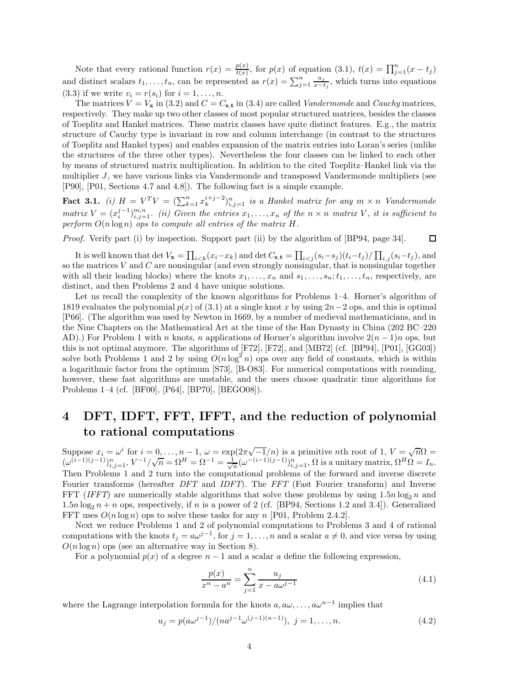Note that every rational function  $r(x) = \frac{p(x)}{t(x)}$ , for  $p(x)$  of equation (3.1),  $t(x) = \prod_{j=1}^{n} (x - t_j)$ and distinct scalars  $t_1, \ldots, t_n$ , can be represented as  $r(x) = \sum_{j=1}^n \frac{u_j}{x-t_j}$ , which turns into equations (3.3) if we write  $v_i = r(s_i)$  for  $i = 1, ..., n$ .

The matrices  $V = V_x$  in (3.2) and  $C = C_{s,t}$  in (3.4) are called *Vandermonde* and *Cauchy* matrices, respectively. They make up two other classes of most popular structured matrices, besides the classes of Toeplitz and Hankel matrices. These matrix classes have quite distinct features. E.g., the matrix structure of Cauchy type is invariant in row and column interchange (in contrast to the structures of Toeplitz and Hankel types) and enables expansion of the matrix entries into Loran's series (unlike the structures of the three other types). Nevertheless the four classes can be linked to each other by means of structured matrix multiplication. In addition to the cited Toeplitz–Hankel link via the multiplier *J*, we have various links via Vandermonde and transposed Vandermonde multipliers (see [P90], [P01, Sections 4.7 and 4.8]). The following fact is a simple example.

**Fact 3.1.** *(i)*  $H = V^T V = (\sum_{k=1}^n x_k^{i+j-2})_{i,j=1}^n$  *is a Hankel matrix for any*  $m \times n$  *Vandermonde* matrix  $V = (x_i^{j-1})_{i,j=1}^{m,n}$ . (ii) Given the entries  $x_1, \ldots, x_n$  of the  $n \times n$  matrix V, it is sufficient to  $p$ erform  $O(n \log n)$  *ops to compute all entries of the matrix*  $H$ *.* 

*Proof.* Verify part (i) by inspection. Support part (ii) by the algorithm of [BP94, page 34].  $\Box$ 

It is well known that  $\det V_{\mathbf{x}} = \prod_{i \leq k} (x_i - x_k)$  and  $\det C_{\mathbf{s},\mathbf{t}} = \prod_{i \leq j} (s_i - s_j)(t_i - t_j) / \prod_{i,j} (s_i - t_j)$ , and so the matrices *V* and *C* are nonsingular (and even strongly nonsingular, that is nonsingular together with all their leading blocks) where the knots  $x_1, \ldots, x_n$  and  $s_1, \ldots, s_n; t_1, \ldots, t_n$ , respectively, are distinct, and then Problems 2 and 4 have unique solutions.

Let us recall the complexity of the known algorithms for Problems 1–4. Horner's algorithm of 1819 evaluates the polynomial  $p(x)$  of (3.1) at a single knot x by using  $2n-2$  ops, and this is optimal [P66]. (The algorithm was used by Newton in 1669, by a number of medieval mathematicians, and in the Nine Chapters on the Mathematical Art at the time of the Han Dynasty in China (202 BC–220 AD).) For Problem 1 with *n* knots, *n* applications of Horner's algorithm involve 2(*n* − 1)*n* ops, but this is not optimal anymore. The algorithms of [F72], [F72], and [MB72] (cf. [BP94], [P01], [GG03]) solve both Problems 1 and 2 by using  $O(n \log^2 n)$  ops over any field of constants, which is within a logarithmic factor from the optimum [S73], [B-O83]. For numerical computations with rounding, however, these fast algorithms are unstable, and the users choose quadratic time algorithms for Problems 1–4 (cf. [BF00], [P64], [BP70], [BEGO08]).

# **4 DFT, IDFT, FFT, IFFT, and the reduction of polynomial to rational computations**

Suppose  $x_i = \omega^i$  for  $i = 0, \ldots, n-1$ ,  $\omega = \exp(2\pi\sqrt{-1}/n)$  is a primitive *n*th root of 1,  $V = \sqrt{n}\Omega =$ Suppose  $x_i = \omega$  for  $i = 0, ..., n - 1$ ,  $\omega = \exp\{2\pi \sqrt{-1/n}\}$  is a primitive mean front of  $T$ ,  $V = \sqrt{n\omega} = (\omega^{(i-1)(j-1)})_{i,j=1}^n$ ,  $V^{-1}/\sqrt{n} = \Omega^H = \Omega^{-1} = \frac{1}{\sqrt{n}} (\omega^{-(i-1)(j-1)})_{i,j=1}^n$ ,  $\Omega$  is a unitary matrix,  $\Omega^H \Omega = I_n$ . Then Problems 1 and 2 turn into the computational problems of the forward and inverse discrete Fourier transforms (hereafter *DFT* and *IDFT*). The *FFT* (Fast Fourier transform) and Inverse FFT (*IFFT*) are numerically stable algorithms that solve these problems by using  $1.5n \log_2 n$  and 1.5*n* log<sub>2</sub>  $n + n$  ops, respectively, if *n* is a power of 2 (cf. [BP94, Sections 1.2 and 3.4]). Generalized FFT uses  $O(n \log n)$  ops to solve these tasks for any *n* [P01, Problem 2.4.2].

Next we reduce Problems 1 and 2 of polynomial computations to Problems 3 and 4 of rational computations with the knots  $t_j = a\omega^{j-1}$ , for  $j = 1, \ldots, n$  and a scalar  $a \neq 0$ , and vice versa by using  $O(n \log n)$  ops (see an alternative way in Section 8).

For a polynomial  $p(x)$  of a degree  $n-1$  and a scalar  $a$  define the following expression,

$$
\frac{p(x)}{x^n - a^n} = \sum_{j=1}^n \frac{u_j}{x - a\omega^{j-1}}\tag{4.1}
$$

where the Lagrange interpolation formula for the knots  $a, a\omega, \ldots, a\omega^{n-1}$  implies that

$$
u_j = p(a\omega^{j-1})/(na^{j-1}\omega^{(j-1)(n-1)}), \ j = 1, \dots, n.
$$
 (4.2)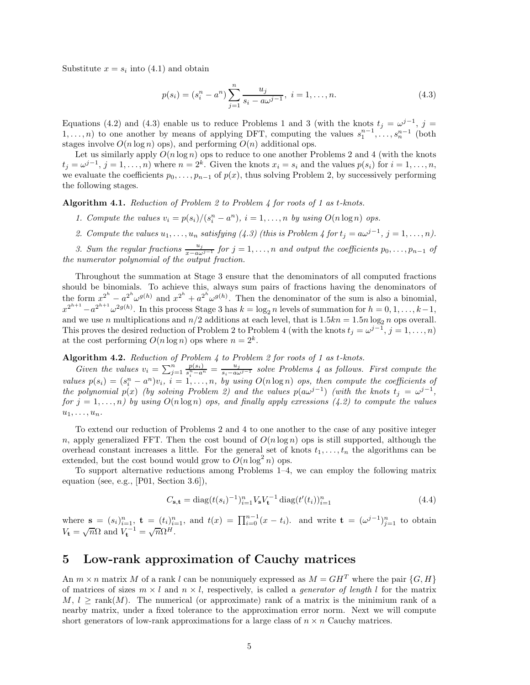Substitute  $x = s_i$  into (4.1) and obtain

$$
p(s_i) = (s_i^n - a^n) \sum_{j=1}^n \frac{u_j}{s_i - a\omega^{j-1}}, \ i = 1, \dots, n.
$$
 (4.3)

Equations (4.2) and (4.3) enable us to reduce Problems 1 and 3 (with the knots  $t_j = \omega^{j-1}$ ,  $j =$ 1,...,*n*) to one another by means of applying DFT, computing the values  $s_1^{n-1}, \ldots, s_n^{n-1}$  (both stages involve  $O(n \log n)$  ops), and performing  $O(n)$  additional ops.

Let us similarly apply  $O(n \log n)$  ops to reduce to one another Problems 2 and 4 (with the knots  $t_j = \omega^{j-1}, j = 1, \ldots, n$  where  $n = 2^k$ . Given the knots  $x_i = s_i$  and the values  $p(s_i)$  for  $i = 1, \ldots, n$ , we evaluate the coefficients  $p_0, \ldots, p_{n-1}$  of  $p(x)$ , thus solving Problem 2, by successively performing the following stages.

**Algorithm 4.1.** *Reduction of Problem 2 to Problem 4 for roots of 1 as t-knots.*

- *1. Compute the values*  $v_i = p(s_i)/(s_i^n a^n)$ ,  $i = 1, \ldots, n$  *by using*  $O(n \log n)$  *ops.*
- 2. Compute the values  $u_1, \ldots, u_n$  satisfying (4.3) (this is Problem 4 for  $t_j = a\omega^{j-1}$ ,  $j = 1, \ldots, n$ ).

*3.* Sum the regular fractions  $\frac{u_j}{x-a\omega^{j-1}}$  for  $j=1,\ldots,n$  and output the coefficients  $p_0,\ldots,p_{n-1}$  of *the numerator polynomial of the output fraction.*

Throughout the summation at Stage 3 ensure that the denominators of all computed fractions should be binomials. To achieve this, always sum pairs of fractions having the denominators of the form  $x^{2^h} - a^{2^h} \omega^{g(h)}$  and  $x^{2^h} + a^{2^h} \omega^{g(h)}$ . Then the denominator of the sum is also a binomial,  $x^{2^{h+1}} - a^{2^{h+1}} \omega^{2g(h)}$ . In this process Stage 3 has  $k = \log_2 n$  levels of summation for  $h = 0, 1, \ldots, k-1$ , and we use *n* multiplications and  $n/2$  additions at each level, that is  $1.5kn = 1.5n \log_2 n$  ops overall. This proves the desired reduction of Problem 2 to Problem 4 (with the knots  $t_j = \omega^{j-1}$ ,  $j = 1, \ldots, n$ ) at the cost performing  $O(n \log n)$  ops where  $n = 2^k$ .

#### **Algorithm 4.2.** *Reduction of Problem 4 to Problem 2 for roots of 1 as t-knots.*

Given the values  $v_i = \sum_{j=1}^n \frac{p(s_i)}{s_i^n - a^n} = \frac{u_j}{s_i - a\omega^{j-1}}$  solve Problems 4 as follows. First compute the values  $p(s_i) = (s_i^n - a^n)v_i$ ,  $i = 1, ..., n$ , by using  $O(n \log n)$  ops, then compute the coefficients of *the polynomial*  $p(x)$  *(by solving Problem 2) and the values*  $p(a\omega^{j-1})$  *(with the knots*  $t_j = \omega^{j-1}$ *, for*  $j = 1, \ldots, n$  *by using*  $O(n \log n)$  *ops, and finally apply exressions* (4.2) to compute the values  $u_1, \ldots, u_n$ *.* 

To extend our reduction of Problems 2 and 4 to one another to the case of any positive integer *n*, apply generalized FFT. Then the cost bound of  $O(n \log n)$  ops is still supported, although the overhead constant increases a little. For the general set of knots  $t_1, \ldots, t_n$  the algorithms can be extended, but the cost bound would grow to  $O(n \log^2 n)$  ops.

To support alternative reductions among Problems 1–4, we can employ the following matrix equation (see, e.g., [P01, Section 3.6]),

$$
C_{\mathbf{s},\mathbf{t}} = \text{diag}(t(s_i)^{-1})_{i=1}^n V_{\mathbf{s}} V_{\mathbf{t}}^{-1} \text{diag}(t'(t_i))_{i=1}^n
$$
\n(4.4)

where  $\mathbf{s} = (s_i)_{i=1}^n$ ,  $\mathbf{t} = (t_i)_{i=1}^n$ , and  $t(x) = \prod_{i=0}^{n-1} (x - t_i)$ . and write  $\mathbf{t} = (\omega^{j-1})_{j=1}^n$  to obtain  $V_{\mathbf{t}} = \sqrt{n}\Omega$  and  $V_{\mathbf{t}}^{-1} = \sqrt{n}\Omega^H$ .

## **5 Low-rank approximation of Cauchy matrices**

An  $m \times n$  matrix M of a rank l can be nonuniquely expressed as  $M = GH^T$  where the pair  $\{G, H\}$ of matrices of sizes  $m \times l$  and  $n \times l$ , respectively, is called a *generator of length l* for the matrix  $M, l \geq \text{rank}(M)$ . The numerical (or approximate) rank of a matrix is the minimium rank of a nearby matrix, under a fixed tolerance to the approximation error norm. Next we will compute short generators of low-rank approximations for a large class of  $n \times n$  Cauchy matrices.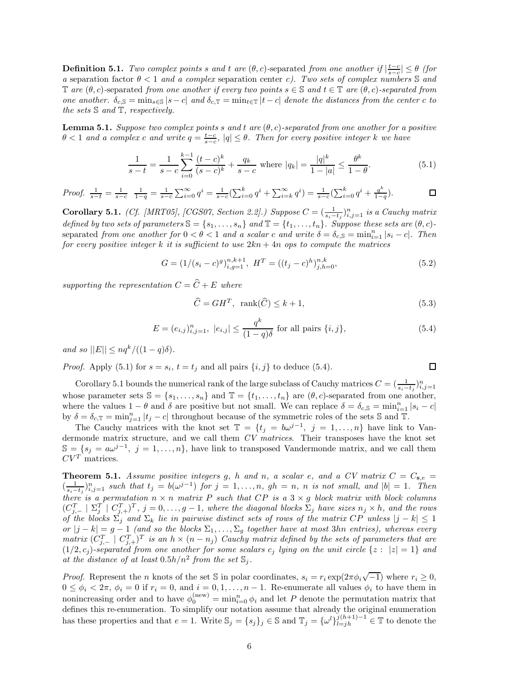**Definition 5.1.** *Two complex points s* and *t* are  $(\theta, c)$ -separated *from one another if*  $|\frac{t-c}{s-c}| \leq \theta$  (for *a* separation factor *θ <* 1 *and a complex* separation center *c). Two sets of complex numbers* S *and*  $\mathbb{T}$  *are*  $(\theta, c)$ -separated *from one another if every two points*  $s \in \mathbb{S}$  *and*  $t \in \mathbb{T}$  *are*  $(\theta, c)$ -separated *from one another.*  $\delta_{c,S} = \min_{s \in S} |s - c|$  *and*  $\delta_{c,T} = \min_{t \in T} |t - c|$  *denote the distances from the center c to the sets* S *and* T*, respectively.*

**Lemma 5.1.** *Suppose two complex points s* and *t* are  $(\theta, c)$ -separated from one another for a positive  $\theta$  < 1 *and a complex c and write*  $q = \frac{t-c}{s-c}$ ,  $|q| \leq \theta$ . Then for every positive integer *k* we have

$$
\frac{1}{s-t} = \frac{1}{s-c} \sum_{i=0}^{k-1} \frac{(t-c)^k}{(s-c)^k} + \frac{q_k}{s-c} \text{ where } |q_k| = \frac{|q|^k}{1-|a|} \le \frac{\theta^k}{1-\theta}.
$$
 (5.1)

*Proof.*  $\frac{1}{s-t} = \frac{1}{s-c}$   $\frac{1}{1-q} = \frac{1}{s-c} \sum_{i=0}^{\infty} q^i = \frac{1}{s-c} (\sum_{i=0}^k q^i + \sum_{i=k}^{\infty} q^i) = \frac{1}{s-c} (\sum_{i=0}^k q^i + \frac{q^k}{1-q}).$  $\Box$ 

**Corollary 5.1.** *(Cf. [MRT05], [CGS07, Section 2.2].) Suppose*  $C = (\frac{1}{s_i - t_j})_{i,j=1}^n$  *is a Cauchy matrix defined by two sets of parameters*  $\mathbb{S} = \{s_1, \ldots, s_n\}$  *and*  $\mathbb{T} = \{t_1, \ldots, t_n\}$ *. Suppose these sets are*  $(\theta, c)$ *-* $\frac{1}{2}$  *from one another for*  $0 < \theta < 1$  *and a scalar c and write*  $\delta = \delta_{c,S} = \min_{i=1}^n |s_i - c|$ *. Then for every positive integer k it is sufficient to use* 2*kn* + 4*n ops to compute the matrices*

$$
G = \left(1/(s_i - c)^g\right)_{i,g=1}^{n,k+1}, H^T = \left((t_j - c)^h\right)_{j,h=0}^{n,k},\tag{5.2}
$$

*supporting the representation*  $C = \hat{C} + E$  *where* 

$$
\widehat{C} = GH^T, \ \text{rank}(\widehat{C}) \le k + 1,\tag{5.3}
$$

$$
E = (e_{i,j})_{i,j=1}^n, |e_{i,j}| \le \frac{q^k}{(1-q)\delta} \text{ for all pairs } \{i,j\},\tag{5.4}
$$

 $and so$   $||E|| \leq nq^k/((1-q)\delta).$ 

*Proof.* Apply (5.1) for  $s = s_i$ ,  $t = t_j$  and all pairs  $\{i, j\}$  to deduce (5.4).

$$
\Box
$$

Corollary 5.1 bounds the numerical rank of the large subclass of Cauchy matrices  $C = (\frac{1}{s_i - t_j})_{i,j=1}^n$ whose parameter sets  $\mathbb{S} = \{s_1, \ldots, s_n\}$  and  $\mathbb{T} = \{t_1, \ldots, t_n\}$  are  $(\theta, c)$ -separated from one another, where the values  $1 - \theta$  and  $\delta$  are positive but not small. We can replace  $\delta = \delta_{c,S} = \min_{i=1}^n |s_i - c|$ by  $\delta = \delta_{c,\mathbb{T}} = \min_{j=1}^n |t_j - c|$  throughout because of the symmetric roles of the sets S and T.

The Cauchy matrices with the knot set  $\mathbb{T} = \{t_j = b\omega^{j-1}, j = 1, ..., n\}$  have link to Vandermonde matrix structure, and we call them *CV matrices*. Their transposes have the knot set  $\mathbb{S} = \{s_j = a\omega^{j-1}, j = 1,\ldots,n\}$ , have link to transposed Vandermonde matrix, and we call them  $CV^T$  matrices.

**Theorem 5.1.** *Assume positive integers g, h and n, a scalar e, and a CV matrix*  $C = C_{s,e}$  $(\frac{1}{s_i-t_j})_{i,j=1}^n$  such that  $t_j = b(\omega^{j-1})$  for  $j = 1, \ldots, n$ ,  $gh = n$ , n is not small, and  $|b| = 1$ . Then *there is a permutation*  $n \times n$  *matrix P such that CP is a* 3  $\times$  *g block matrix with block columns*  $(C_{j,-}^T \mid \Sigma_j^T \mid C_{j,+}^T)^T, j = 0, \ldots, g-1$ , where the diagonal blocks  $\Sigma_j$  have sizes  $n_j \times h$ , and the rows *of the blocks*  $\sum_{j}$  *and*  $\sum_{k}$  *lie in pairwise distinct sets of rows of the matrix CP unless*  $|j - k| \leq 1$  $\langle \text{or } |j-k| = g-1 \text{ (and so the blocks } \Sigma_1, \ldots, \Sigma_g \text{ together have at most 3}h\text{ and entries), whereas every } j \in \mathbb{Z}$ *matrix*  $(C_{j,-}^T \mid C_{j,+}^T)$ <sup>*T*</sup> *is an*  $h \times (n - n_j)$  *Cauchy matrix defined by the sets of parameters that are*  $(1/2, c_j)$ -separated from one another for some scalars  $c_j$  lying on the unit circle  $\{z : |z| = 1\}$  and at the distance of at least  $0.5h/n^2$  from the set  $\mathbb{S}_i$ .

*Proof.* Represent the *n* knots of the set S in polar coordinates,  $s_i = r_i \exp(2\pi \phi_i \sqrt{-1})$  where  $r_i \geq 0$ ,  $0 \leq \phi_i < 2\pi$ ,  $\phi_i = 0$  if  $r_i = 0$ , and  $i = 0, 1, \ldots, n-1$ . Re-enumerate all values  $\phi_i$  to have them in nonincreasing order and to have  $\phi_0^{(new)} = \min_{i=0}^n \phi_i$  and let *P* denote the permutation matrix that defines this re-enumeration. To simplify our notation assume that already the original enumeration has these properties and that  $e = 1$ . Write  $\mathbb{S}_j = \{s_j\}_j \in \mathbb{S}$  and  $\mathbb{T}_j = \{\omega^l\}_{l=jh}^{j(h+1)-1} \in \mathbb{T}$  to denote the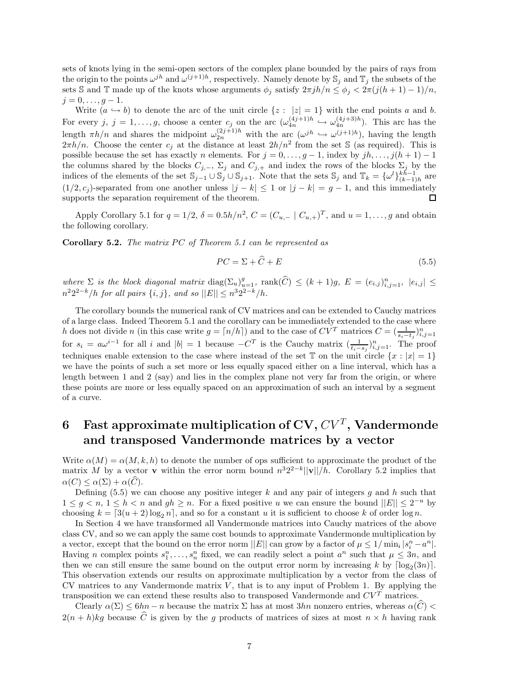sets of knots lying in the semi-open sectors of the complex plane bounded by the pairs of rays from the origin to the points  $\omega^{j}$  and  $\omega^{(j+1)h}$ , respectively. Namely denote by  $\mathcal{S}_i$  and  $\mathbb{T}_j$  the subsets of the sets S and T made up of the knots whose arguments  $\phi_j$  satisfy  $2\pi jh/n \leq \phi_j < 2\pi(j(h+1)-1)/n$ ,  $j = 0, \ldots, q - 1.$ 

Write  $(a \leftrightarrow b)$  to denote the arc of the unit circle  $\{z : |z| = 1\}$  with the end points *a* and *b*. For every  $j, j = 1, \ldots, g$ , choose a center  $c_j$  on the arc  $(\omega_{4n}^{(4j+1)h} \hookrightarrow \omega_{4n}^{(4j+3)h})$ . This arc has the length  $\pi h/n$  and shares the midpoint  $\omega_{2n}^{(2j+1)h}$  with the arc  $(\omega^{jh} \hookrightarrow \omega^{(j+1)h})$ , having the length  $2\pi h/n$ . Choose the center  $c_j$  at the distance at least  $2h/n^2$  from the set S (as required). This is possible because the set has exactly *n* elements. For  $j = 0, \ldots, g - 1$ , index by  $jh, \ldots, j(h + 1) - 1$ the columns shared by the blocks  $C_{j,-}$ ,  $\Sigma_j$  and  $C_{j,+}$  and index the rows of the blocks  $\Sigma_j$  by the indices of the elements of the set  $\mathbb{S}_{j-1} \cup \mathbb{S}_j \cup \mathbb{S}_{j+1}$ . Note that the sets  $\mathbb{S}_j$  and  $\mathbb{T}_k = {\omega^l}_{(k-1)h}^{kh-1}$  are  $(1/2, c_j)$ -separated from one another unless  $|j - k| \leq 1$  or  $|j - k| = g - 1$ , and this immediately supports the separation requirement of the theorem. □

Apply Corollary 5.1 for  $q = 1/2$ ,  $\delta = 0.5h/n^2$ ,  $C = (C_{u,-} | C_{u,+})^T$ , and  $u = 1, ..., g$  and obtain the following corollary.

**Corollary 5.2.** *The matrix PC of Theorem 5.1 can be represented as* 

$$
PC = \Sigma + \hat{C} + E \tag{5.5}
$$

where  $\Sigma$  is the block diagonal matrix  $\text{diag}(\Sigma_u)_{u=1}^g$ ,  $\text{rank}(\widehat{C}) \leq (k+1)g$ ,  $E = (e_{i,j})_{i,j=1}^n$ ,  $|e_{i,j}| \leq$  $n^2 2^{2-k}/h$  *for all pairs*  $\{i, j\}$ *, and so*  $||E|| \leq n^3 2^{2-k}/h$ *.* 

The corollary bounds the numerical rank of CV matrices and can be extended to Cauchy matrices of a large class. Indeed Theorem 5.1 and the corollary can be immediately extended to the case where *h* does not divide *n* (in this case write  $g = \lfloor n/h \rfloor$ ) and to the case of  $CV^T$  matrices  $C = (\frac{1}{s_i - t_j})_{i,j=1}^n$ for  $s_i = a\omega^{i-1}$  for all *i* and  $|b| = 1$  because  $-C^T$  is the Cauchy matrix  $\left(\frac{1}{t_i - s_j}\right)_{i,j=1}^n$ . The proof techniques enable extension to the case where instead of the set  $\mathbb T$  on the unit circle  $\{x : |x| = 1\}$ we have the points of such a set more or less equally spaced either on a line interval, which has a length between 1 and 2 (say) and lies in the complex plane not very far from the origin, or where these points are more or less equally spaced on an approximation of such an interval by a segment of a curve.

# **6** Fast approximate multiplication of  $CV$ ,  $CV<sup>T</sup>$ , Vandermonde **and transposed Vandermonde matrices by a vector**

Write  $\alpha(M) = \alpha(M, k, h)$  to denote the number of ops sufficient to approximate the product of the matrix *M* by a vector **v** within the error norm bound  $n^3 2^{2-k}$ ||**v**||*/h*. Corollary 5.2 implies that  $\alpha(C) \leq \alpha(\Sigma) + \alpha(\widehat{C}).$ 

Defining (5.5) we can choose any positive integer *k* and any pair of integers *g* and *h* such that  $1 \leq g \leq n, 1 \leq h \leq n$  and  $gh \geq n$ . For a fixed positive *u* we can ensure the bound  $||E|| \leq 2^{-u}$  by choosing  $k = [3(u+2)\log_2 n]$ , and so for a constant *u* it is sufficient to choose *k* of order  $\log n$ .

In Section 4 we have transformed all Vandermonde matrices into Cauchy matrices of the above class CV, and so we can apply the same cost bounds to approximate Vandermonde multiplication by a vector, except that the bound on the error norm  $||E||$  can grow by a factor of  $\mu \leq 1/\min_i |s_i^n - a^n|$ . Having *n* complex points  $s_1^n, \ldots, s_n^n$  fixed, we can readily select a point  $a^n$  such that  $\mu \leq 3n$ , and then we can still ensure the same bound on the output error norm by increasing k by  $\lceil \log_2(3n) \rceil$ . This observation extends our results on approximate multiplication by a vector from the class of CV matrices to any Vandermonde matrix *V* , that is to any input of Problem 1. By applying the transposition we can extend these results also to transposed Vandermonde and  $CV^T$  matrices.

Clearly  $\alpha(\Sigma) \leq 6hn - n$  because the matrix  $\Sigma$  has at most  $3hn$  nonzero entries, whereas  $\alpha(\widehat{C})$  <  $2(n+h)kg$  because  $\hat{C}$  is given by the *g* products of matrices of sizes at most  $n \times h$  having rank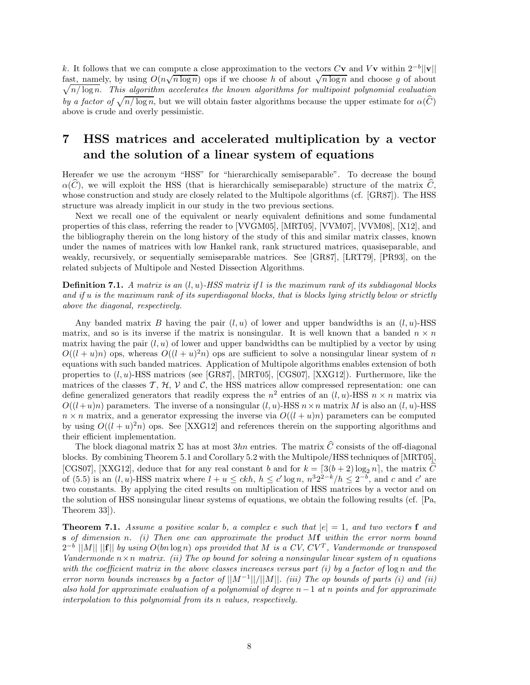*k*. It follows that we can compute a close approximation to the vectors  $C$ **v** and  $V$ **v** within  $2^{-b}$ ||**v**|| fast, namely, by using  $O(n\sqrt{n \log n})$  ops if we choose *h* of about  $\sqrt{n \log n}$  and choose *g* of about fast, namely, by using  $O(n\sqrt{n \log n})$  ops if we choose *h* of about  $\sqrt{n \log n}$  and choose *g* of about  $\sqrt{n/\log n}$ . This algorithm accelerates the known algorithms for multipoint polynomial evaluation *by a factor of*  $\sqrt{n/\log n}$ , but we will obtain faster algorithms because the upper estimate for  $\alpha(\widehat{C})$ above is crude and overly pessimistic.

## **7 HSS matrices and accelerated multiplication by a vector and the solution of a linear system of equations**

Hereafer we use the acronym "HSS" for "hierarchically semiseparable". To decrease the bound  $\alpha(C)$ , we will exploit the HSS (that is hierarchically semiseparable) structure of the matrix  $C$ , whose construction and study are closely related to the Multipole algorithms (cf. [GR87]). The HSS structure was already implicit in our study in the two previous sections.

Next we recall one of the equivalent or nearly equivalent definitions and some fundamental properties of this class, referring the reader to [VVGM05], [MRT05], [VVM07], [VVM08], [X12], and the bibliography therein on the long history of the study of this and similar matrix classes, known under the names of matrices with low Hankel rank, rank structured matrices, quasiseparable, and weakly, recursively, or sequentially semiseparable matrices. See [GR87], [LRT79], [PR93], on the related subjects of Multipole and Nested Dissection Algorithms.

**Definition 7.1.** *A matrix is an* (*l, u*)*-HSS matrix if l is the maximum rank of its subdiagonal blocks and if u is the maximum rank of its superdiagonal blocks, that is blocks lying strictly below or strictly above the diagonal, respectively.*

Any banded matrix *B* having the pair  $(l, u)$  of lower and upper bandwidths is an  $(l, u)$ -HSS matrix, and so is its inverse if the matrix is nonsingular. It is well known that a banded  $n \times n$ matrix having the pair  $(l, u)$  of lower and upper bandwidths can be multiplied by a vector by using  $O((l + u)n)$  ops, whereas  $O((l + u)^2n)$  ops are sufficient to solve a nonsingular linear system of *n* equations with such banded matrices. Application of Multipole algorithms enables extension of both properties to (*l, u*)-HSS matrices (see [GR87], [MRT05], [CGS07], [XXG12]). Furthermore, like the matrices of the classes  $\mathcal{T}, \mathcal{H}, \mathcal{V}$  and  $\mathcal{C}$ , the HSS matrices allow compressed representation: one can define generalized generators that readily express the  $n^2$  entries of an  $(l, u)$ -HSS  $n \times n$  matrix via  $O((l+u)n)$  parameters. The inverse of a nonsingular  $(l, u)$ -HSS  $n \times n$  matrix *M* is also an  $(l, u)$ -HSS  $n \times n$  matrix, and a generator expressing the inverse via  $O((l + u)n)$  parameters can be computed by using  $O((l + u)^2 n)$  ops. See [XXG12] and references therein on the supporting algorithms and their efficient implementation.

The block diagonal matrix  $\Sigma$  has at most  $3hn$  entries. The matrix  $\hat{C}$  consists of the off-diagonal blocks. By combining Theorem 5.1 and Corollary 5.2 with the Multipole/HSS techniques of [MRT05], [CGS07], [XXG12], deduce that for any real constant *b* and for  $k = \left[3(b+2)\log_2 n\right]$ , the matrix *C* of (5.5) is an  $(l, u)$ -HSS matrix where  $l + u \leq ckh$ ,  $h \leq c' \log n$ ,  $n^3 2^{2-k}/h \leq 2^{-b}$ , and  $c$  and  $c'$  are two constants. By applying the cited results on multiplication of HSS matrices by a vector and on the solution of HSS nonsingular linear systems of equations, we obtain the following results (cf. [Pa, Theorem 33]).

**Theorem 7.1.** *Assume a positive scalar b*, a complex *e* such that  $|e| = 1$ , and two vectors **f** and **s** *of dimension n. (i) Then one can approximate the product M***f** *within the error norm bound*  $2^{-b}$  ||M|| ||f|| *by using*  $O(bn \log n)$  *ops provided that*  $M$  *is a CV, CV<sup>T</sup>, Vandermonde or transposed Vandermonde n*×*n matrix. (ii) The op bound for solving a nonsingular linear system of n equations with the coefficient matrix in the above classes increases versus part (i) by a factor of*  $\log n$  *and the error norm bounds increases by a factor of*  $||M^{-1}||/||M||$ *. (iii) The op bounds of parts (i) and (ii) also hold for approximate evaluation of a polynomial of degree n*−1 *at n points and for approximate interpolation to this polynomial from its n values, respectively.*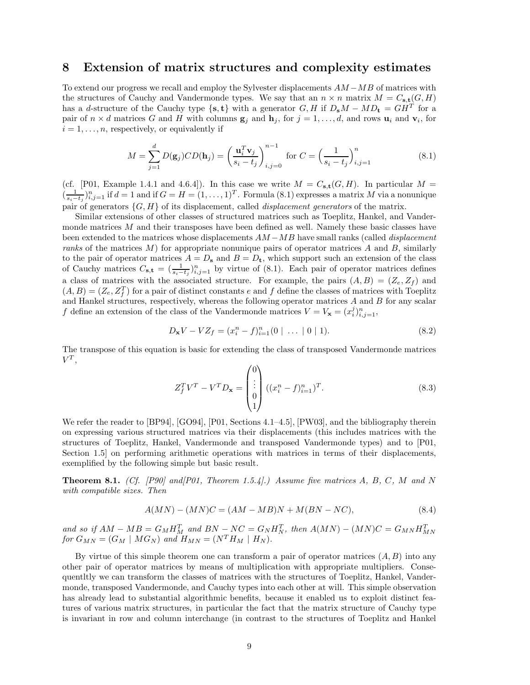### **8 Extension of matrix structures and complexity estimates**

To extend our progress we recall and employ the Sylvester displacements *AM* −*MB* of matrices with the structures of Cauchy and Vandermonde types. We say that an  $n \times n$  matrix  $M = C_{s,t}(G, H)$ has a *d*-structure of the Cauchy type  $\{s, t\}$  with a generator *G, H* if  $D_s M - MD_t = GH^T$  for a pair of  $n \times d$  matrices *G* and *H* with columns  $\mathbf{g}_j$  and  $\mathbf{h}_j$ , for  $j = 1, \ldots, d$ , and rows  $\mathbf{u}_i$  and  $\mathbf{v}_i$ , for  $i = 1, \ldots, n$ , respectively, or equivalently if

$$
M = \sum_{j=1}^{d} D(\mathbf{g}_j) C D(\mathbf{h}_j) = \left(\frac{\mathbf{u}_i^T \mathbf{v}_j}{s_i - t_j}\right)_{i,j=0}^{n-1} \text{ for } C = \left(\frac{1}{s_i - t_j}\right)_{i,j=1}^n \tag{8.1}
$$

(cf. [P01, Example 1.4.1 and 4.6.4]). In this case we write  $M = C_{s,t}(G, H)$ . In particular  $M =$  $(\frac{1}{s_i-t_j})_{i,j=1}^n$  if  $d=1$  and if  $G=H=(1,\ldots,1)^T$ . Formula (8.1) expresses a matrix *M* via a nonunique pair of generators {*G, H*} of its displacement, called *displacement generators* of the matrix.

Similar extensions of other classes of structured matrices such as Toeplitz, Hankel, and Vandermonde matrices M and their transposes have been defined as well. Namely these basic classes have been extended to the matrices whose displacements *AM* −*MB* have small ranks (called *displacement ranks* of the matrices *M*) for appropriate nonunique pairs of operator matrices *A* and *B*, similarly to the pair of operator matrices  $A = D_s$  and  $B = D_t$ , which support such an extension of the class of Cauchy matrices  $C_{\mathbf{s},\mathbf{t}} = \left(\frac{1}{s_i-t_j}\right)_{i,j=1}^n$  by virtue of (8.1). Each pair of operator matrices defines a class of matrices with the associated structure. For example, the pairs  $(A, B) = (Z_e, Z_f)$  and  $(A, B) = (Z_e, Z_f^T)$  for a pair of distinct constants *e* and *f* define the classes of matrices with Toeplitz and Hankel structures, respectively, whereas the following operator matrices *A* and *B* for any scalar *f* define an extension of the class of the Vandermonde matrices  $V = V_x = (x_i^j)_{i,j=1}^n$ ,

$$
D_{\mathbf{x}}V - VZ_f = (x_i^n - f)_{i=1}^n (0 \mid \dots \mid 0 \mid 1).
$$
 (8.2)

The transpose of this equation is basic for extending the class of transposed Vandermonde matrices  $V^T$ ,

$$
Z_f^T V^T - V^T D_{\mathbf{x}} = \begin{pmatrix} 0 \\ \vdots \\ 0 \\ 1 \end{pmatrix} ((x_i^n - f)_{i=1}^n)^T.
$$
 (8.3)

We refer the reader to [BP94], [GO94], [P01, Sections 4.1–4.5], [PW03], and the bibliography therein on expressing various structured matrices via their displacements (this includes matrices with the structures of Toeplitz, Hankel, Vandermonde and transposed Vandermonde types) and to [P01, Section 1.5 on performing arithmetic operations with matrices in terms of their displacements, exemplified by the following simple but basic result.

**Theorem 8.1.** *(Cf. [P90] and[P01, Theorem 1.5.4].) Assume five matrices A, B, C, M and N with compatible sizes. Then*

$$
A(MN) - (MN)C = (AM - MB)N + M(BN - NC),\tag{8.4}
$$

and so if  $AM - MB = G_M H_M^T$  and  $BN - NC = G_N H_N^T$ , then  $A(MN) - (MN)C = G_{MN} H_{MN}^T$ *for*  $G_{MN} = (G_M \mid MG_N)$  *and*  $H_{MN} = (N^T H_M \mid H_N)$ *.* 

By virtue of this simple theorem one can transform a pair of operator matrices (*A, B*) into any other pair of operator matrices by means of multiplication with appropriate multipliers. Consequentltly we can transform the classes of matrices with the structures of Toeplitz, Hankel, Vandermonde, transposed Vandermonde, and Cauchy types into each other at will. This simple observation has already lead to substantial algorithmic benefits, because it enabled us to exploit distinct features of various matrix structures, in particular the fact that the matrix structure of Cauchy type is invariant in row and column interchange (in contrast to the structures of Toeplitz and Hankel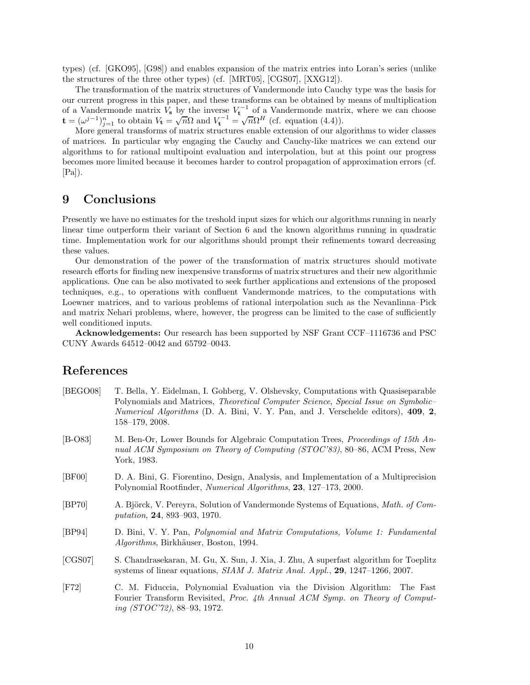types) (cf. [GKO95], [G98]) and enables expansion of the matrix entries into Loran's series (unlike the structures of the three other types) (cf. [MRT05], [CGS07], [XXG12]).

The transformation of the matrix structures of Vandermonde into Cauchy type was the basis for our current progress in this paper, and these transforms can be obtained by means of multiplication of a Vandermonde matrix  $V_s$  by the inverse  $V_t^{-1}$  of a Vandermonde matrix, where we can choose **t** =  $(\omega^{j-1})_{j=1}^n$  to obtain  $V_t = \sqrt{n}\Omega$  and  $V_t^{-1} = \sqrt{n}\Omega^H$  (cf. equation (4.4)).

More general transforms of matrix structures enable extension of our algorithms to wider classes of matrices. In particular wby engaging the Cauchy and Cauchy-like matrices we can extend our algorithms to for rational multipoint evaluation and interpolation, but at this point our progress becomes more limited because it becomes harder to control propagation of approximation errors (cf.  $[Pa]$ ).

### **9 Conclusions**

Presently we have no estimates for the treshold input sizes for which our algorithms running in nearly linear time outperform their variant of Section 6 and the known algorithms running in quadratic time. Implementation work for our algorithms should prompt their refinements toward decreasing these values.

Our demonstration of the power of the transformation of matrix structures should motivate research efforts for finding new inexpensive transforms of matrix structures and their new algorithmic applications. One can be also motivated to seek further applications and extensions of the proposed techniques, e.g., to operations with confluent Vandermonde matrices, to the computations with Loewner matrices, and to various problems of rational interpolation such as the Nevanlinna–Pick and matrix Nehari problems, where, however, the progress can be limited to the case of sufficiently well conditioned inputs.

**Acknowledgements:** Our research has been supported by NSF Grant CCF–1116736 and PSC CUNY Awards 64512–0042 and 65792–0043.

## **References**

| [BEGO08]      | T. Bella, Y. Eidelman, I. Gohberg, V. Olshevsky, Computations with Quasiseparable<br>Polynomials and Matrices, Theoretical Computer Science, Special Issue on Symbolic-<br><i>Numerical Algorithms</i> (D. A. Bini, V. Y. Pan, and J. Verschelde editors), 409, 2,<br>$158 - 179$ , 2008. |
|---------------|-------------------------------------------------------------------------------------------------------------------------------------------------------------------------------------------------------------------------------------------------------------------------------------------|
| $[B-O83]$     | M. Ben-Or, Lower Bounds for Algebraic Computation Trees, <i>Proceedings of 15th An</i> -<br>nual ACM Symposium on Theory of Computing (STOC'83), 80–86, ACM Press, New<br>York, 1983.                                                                                                     |
| [BF00]        | D. A. Bini, G. Fiorentino, Design, Analysis, and Implementation of a Multiprecision<br>Polynomial Rootfinder, Numerical Algorithms, 23, 127-173, 2000.                                                                                                                                    |
| [BP70]        | A. Björck, V. Pereyra, Solution of Vandermonde Systems of Equations, <i>Math. of Com-</i><br><i>putation</i> , <b>24</b> , 893–903, 1970.                                                                                                                                                 |
| [BP94]        | D. Bini, V. Y. Pan, <i>Polynomial and Matrix Computations, Volume 1: Fundamental</i><br><i>Algorithms</i> , Birkhäuser, Boston, 1994.                                                                                                                                                     |
| [CGS07]       | S. Chandrasekaran, M. Gu, X. Sun, J. Xia, J. Zhu, A superfast algorithm for Toeplitz<br>systems of linear equations, $SIAM J. Matrix Anal. Appl., 29, 1247-1266, 2007.$                                                                                                                   |
| $[{\rm F}72]$ | C. M. Fiduccia, Polynomial Evaluation via the Division Algorithm: The Fast<br>Fourier Transform Revisited, Proc. 4th Annual ACM Symp. on Theory of Comput-<br>ing $(TOC'72)$ , 88-93, 1972.                                                                                               |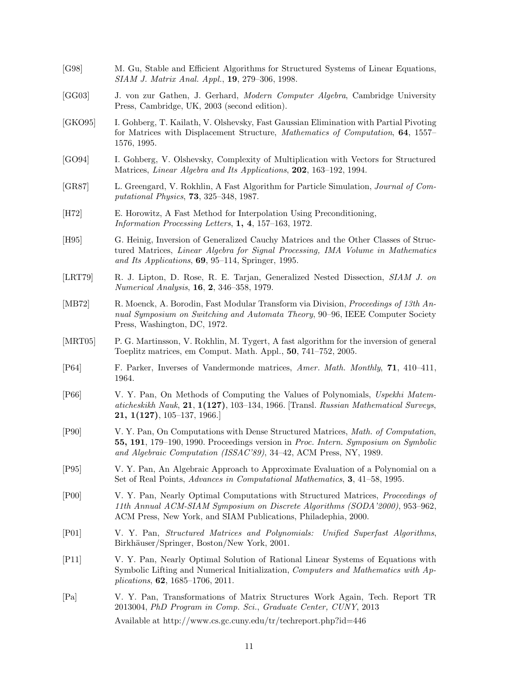[G98] M. Gu, Stable and Efficient Algorithms for Structured Systems of Linear Equations, *SIAM J. Matrix Anal. Appl.*, **19**, 279–306, 1998. [GG03] J. von zur Gathen, J. Gerhard, *Modern Computer Algebra*, Cambridge University Press, Cambridge, UK, 2003 (second edition). [GKO95] I. Gohberg, T. Kailath, V. Olshevsky, Fast Gaussian Elimination with Partial Pivoting for Matrices with Displacement Structure, *Mathematics of Computation*, **64**, 1557– 1576, 1995. [GO94] I. Gohberg, V. Olshevsky, Complexity of Multiplication with Vectors for Structured Matrices, *Linear Algebra and Its Applications*, **202**, 163–192, 1994. [GR87] L. Greengard, V. Rokhlin, A Fast Algorithm for Particle Simulation, *Journal of Computational Physics*, **73**, 325–348, 1987. [H72] E. Horowitz, A Fast Method for Interpolation Using Preconditioning, *Information Processing Letters*, **1, 4**, 157–163, 1972. [H95] G. Heinig, Inversion of Generalized Cauchy Matrices and the Other Classes of Structured Matrices, *Linear Algebra for Signal Processing, IMA Volume in Mathematics and Its Applications*, **69**, 95–114, Springer, 1995. [LRT79] R. J. Lipton, D. Rose, R. E. Tarjan, Generalized Nested Dissection, *SIAM J. on Numerical Analysis*, **16**, **2**, 346–358, 1979. [MB72] R. Moenck, A. Borodin, Fast Modular Transform via Division, *Proceedings of 13th Annual Symposium on Switching and Automata Theory*, 90–96, IEEE Computer Society Press, Washington, DC, 1972. [MRT05] P. G. Martinsson, V. Rokhlin, M. Tygert, A fast algorithm for the inversion of general Toeplitz matrices, em Comput. Math. Appl., **50**, 741–752, 2005. [P64] F. Parker, Inverses of Vandermonde matrices, *Amer. Math. Monthly*, **71**, 410–411, 1964. [P66] V. Y. Pan, On Methods of Computing the Values of Polynomials, *Uspekhi Matematicheskikh Nauk*, **21**, **1(127)**, 103–134, 1966. [Transl. *Russian Mathematical Surveys*, **21, 1(127)**, 105–137, 1966.] [P90] V. Y. Pan, On Computations with Dense Structured Matrices, *Math. of Computation*, **55, 191**, 179–190, 1990. Proceedings version in *Proc. Intern. Symposium on Symbolic and Algebraic Computation (ISSAC'89)*, 34–42, ACM Press, NY, 1989. [P95] V. Y. Pan, An Algebraic Approach to Approximate Evaluation of a Polynomial on a Set of Real Points, *Advances in Computational Mathematics*, **3**, 41–58, 1995. [P00] V. Y. Pan, Nearly Optimal Computations with Structured Matrices, *Proceedings of 11th Annual ACM-SIAM Symposium on Discrete Algorithms (SODA'2000)*, 953–962, ACM Press, New York, and SIAM Publications, Philadephia, 2000. [P01] V. Y. Pan, *Structured Matrices and Polynomials: Unified Superfast Algorithms*, Birkhäuser/Springer, Boston/New York, 2001. [P11] V. Y. Pan, Nearly Optimal Solution of Rational Linear Systems of Equations with Symbolic Lifting and Numerical Initialization, *Computers and Mathematics with Applications*, **62**, 1685–1706, 2011. [Pa] V. Y. Pan, Transformations of Matrix Structures Work Again, Tech. Report TR 2013004, *PhD Program in Comp. Sci.*, *Graduate Center, CUNY*, 2013 Available at http://www.cs.gc.cuny.edu/tr/techreport.php?id=446